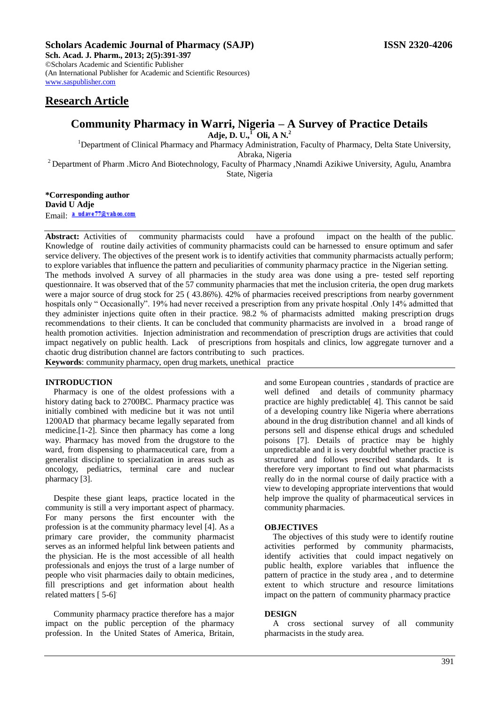### **Scholars Academic Journal of Pharmacy (SAJP) ISSN 2320-4206**

**Sch. Acad. J. Pharm., 2013; 2(5):391-397** ©Scholars Academic and Scientific Publisher (An International Publisher for Academic and Scientific Resources) [www.saspublisher.com](http://www.saspublisher.com/)

## **Research Article**

# **Community Pharmacy in Warri, Nigeria – A Survey of Practice Details**

**Adje, D. U.,<sup>1</sup> Oli, A N.<sup>2</sup>**

<sup>1</sup>Department of Clinical Pharmacy and Pharmacy Administration, Faculty of Pharmacy, Delta State University, Abraka, Nigeria

<sup>2</sup> Department of Pharm .Micro And Biotechnology, Faculty of Pharmacy ,Nnamdi Azikiwe University, Agulu, Anambra State, Nigeria

**\*Corresponding author David U Adje** Email: a udave 77@vahoo.com

**Abstract:** Activities of community pharmacists could have a profound impact on the health of the public. Knowledge of routine daily activities of community pharmacists could can be harnessed to ensure optimum and safer service delivery. The objectives of the present work is to identify activities that community pharmacists actually perform; to explore variables that influence the pattern and peculiarities of community pharmacy practice in the Nigerian setting. The methods involved A survey of all pharmacies in the study area was done using a pre- tested self reporting questionnaire. It was observed that of the 57 community pharmacies that met the inclusion criteria, the open drug markets were a major source of drug stock for 25 ( 43.86%). 42% of pharmacies received prescriptions from nearby government hospitals only " Occasionally". 19% had never received a prescription from any private hospital .Only 14% admitted that they administer injections quite often in their practice. 98.2 % of pharmacists admitted making prescription drugs recommendations to their clients. It can be concluded that community pharmacists are involved in a broad range of health promotion activities. Injection administration and recommendation of prescription drugs are activities that could impact negatively on public health. Lack of prescriptions from hospitals and clinics, low aggregate turnover and a chaotic drug distribution channel are factors contributing to such practices. **Keywords**: community pharmacy, open drug markets, unethical practice

#### **INTRODUCTION**

Pharmacy is one of the oldest professions with a history dating back to 2700BC. Pharmacy practice was initially combined with medicine but it was not until 1200AD that pharmacy became legally separated from medicine.[1-2]. Since then pharmacy has come a long way. Pharmacy has moved from the drugstore to the ward, from dispensing to pharmaceutical care, from a generalist discipline to specialization in areas such as oncology, pediatrics, terminal care and nuclear pharmacy [3].

Despite these giant leaps, practice located in the community is still a very important aspect of pharmacy. For many persons the first encounter with the profession is at the community pharmacy level [4]. As a primary care provider, the community pharmacist serves as an informed helpful link between patients and the physician. He is the most accessible of all health professionals and enjoys the trust of a large number of people who visit pharmacies daily to obtain medicines, fill prescriptions and get information about health related matters [5-6]<sup>.</sup>

Community pharmacy practice therefore has a major impact on the public perception of the pharmacy profession. In the United States of America, Britain,

and some European countries , standards of practice are well defined and details of community pharmacy practice are highly predictable[ 4]. This cannot be said of a developing country like Nigeria where aberrations abound in the drug distribution channel and all kinds of persons sell and dispense ethical drugs and scheduled poisons [7]. Details of practice may be highly unpredictable and it is very doubtful whether practice is structured and follows prescribed standards. It is therefore very important to find out what pharmacists really do in the normal course of daily practice with a view to developing appropriate interventions that would help improve the quality of pharmaceutical services in community pharmacies.

#### **OBJECTIVES**

The objectives of this study were to identify routine activities performed by community pharmacists, identify activities that could impact negatively on public health, explore variables that influence the pattern of practice in the study area , and to determine extent to which structure and resource limitations impact on the pattern of community pharmacy practice

#### **DESIGN**

A cross sectional survey of all community pharmacists in the study area.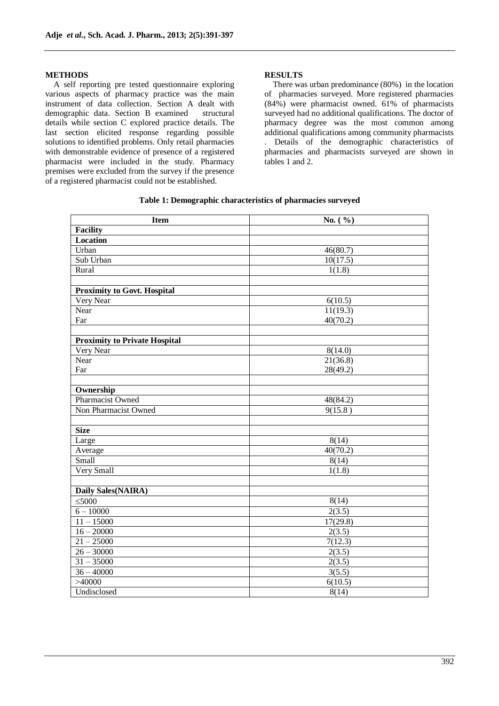#### **METHODS**

A self reporting pre tested questionnaire exploring various aspects of pharmacy practice was the main instrument of data collection. Section A dealt with demographic data. Section B examined structural details while section C explored practice details. The last section elicited response regarding possible solutions to identified problems. Only retail pharmacies with demonstrable evidence of presence of a registered pharmacist were included in the study. Pharmacy premises were excluded from the survey if the presence of a registered pharmacist could not be established.

#### **RESULTS**

There was urban predominance (80%) in the location of pharmacies surveyed. More registered pharmacies (84%) were pharmacist owned. 61% of pharmacists surveyed had no additional qualifications. The doctor of pharmacy degree was the most common among additional qualifications among community pharmacists . Details of the demographic characteristics of pharmacies and pharmacists surveyed are shown in tables 1 and 2.

| Table 1: Demographic characteristics of pharmacies surveyed |
|-------------------------------------------------------------|
|-------------------------------------------------------------|

| <b>Item</b>                          | No. $(\% )$ |  |  |
|--------------------------------------|-------------|--|--|
| <b>Facility</b>                      |             |  |  |
| Location                             |             |  |  |
| Urban                                | 46(80.7)    |  |  |
| Sub Urban                            | 10(17.5)    |  |  |
| Rural                                | 1(1.8)      |  |  |
|                                      |             |  |  |
| <b>Proximity to Govt. Hospital</b>   |             |  |  |
| Very Near                            | 6(10.5)     |  |  |
| Near                                 | 11(19.3)    |  |  |
| Far                                  | 40(70.2)    |  |  |
|                                      |             |  |  |
| <b>Proximity to Private Hospital</b> |             |  |  |
| Very Near                            | 8(14.0)     |  |  |
| Near                                 | 21(36.8)    |  |  |
| Far                                  | 28(49.2)    |  |  |
|                                      |             |  |  |
| Ownership                            |             |  |  |
| Pharmacist Owned                     | 48(84.2)    |  |  |
| Non Pharmacist Owned                 | 9(15.8)     |  |  |
|                                      |             |  |  |
| <b>Size</b>                          |             |  |  |
| Large                                | 8(14)       |  |  |
| Average                              | 40(70.2)    |  |  |
| Small                                | 8(14)       |  |  |
| Very Small                           | 1(1.8)      |  |  |
|                                      |             |  |  |
| Daily Sales(NAIRA)                   |             |  |  |
| $\leq 5000$                          | 8(14)       |  |  |
| $6 - 10000$                          | 2(3.5)      |  |  |
| $11 - 15000$                         | 17(29.8)    |  |  |
| $16 - 20000$                         | 2(3.5)      |  |  |
| $21 - 25000$                         | 7(12.3)     |  |  |
| $26 - 30000$                         | 2(3.5)      |  |  |
| $31 - 35000$                         | 2(3.5)      |  |  |
| $36 - 40000$                         | 3(5.5)      |  |  |
| >40000                               | 6(10.5)     |  |  |
| Undisclosed                          | 8(14)       |  |  |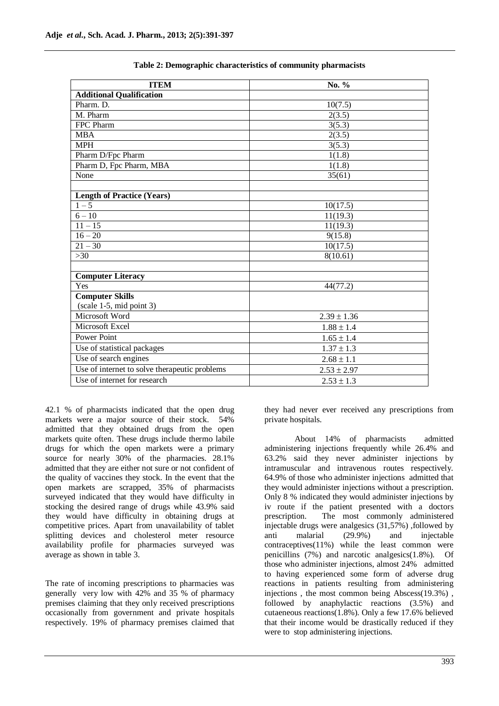| <b>ITEM</b>                                   | No. %           |  |  |
|-----------------------------------------------|-----------------|--|--|
| <b>Additional Qualification</b>               |                 |  |  |
| Pharm. D.                                     | 10(7.5)         |  |  |
| M. Pharm                                      | 2(3.5)          |  |  |
| FPC Pharm                                     | 3(5.3)          |  |  |
| <b>MBA</b>                                    | 2(3.5)          |  |  |
| <b>MPH</b>                                    | 3(5.3)          |  |  |
| Pharm D/Fpc Pharm                             | 1(1.8)          |  |  |
| Pharm D, Fpc Pharm, MBA                       | 1(1.8)          |  |  |
| None                                          | 35(61)          |  |  |
|                                               |                 |  |  |
| <b>Length of Practice (Years)</b>             |                 |  |  |
| $1 - 5$                                       | 10(17.5)        |  |  |
| $6 - 10$                                      | 11(19.3)        |  |  |
| $11 - 15$                                     | 11(19.3)        |  |  |
| $16 - 20$                                     | 9(15.8)         |  |  |
| $21 - 30$                                     | 10(17.5)        |  |  |
| >30                                           | 8(10.61)        |  |  |
|                                               |                 |  |  |
| <b>Computer Literacy</b>                      |                 |  |  |
| Yes                                           | 44(77.2)        |  |  |
| <b>Computer Skills</b>                        |                 |  |  |
| $(scale 1-5, mid point 3)$                    |                 |  |  |
| Microsoft Word                                | $2.39 \pm 1.36$ |  |  |
| Microsoft Excel                               | $1.88 \pm 1.4$  |  |  |
| <b>Power Point</b>                            | $1.65 \pm 1.4$  |  |  |
| Use of statistical packages                   | $1.37 \pm 1.3$  |  |  |
| Use of search engines                         | $2.68 \pm 1.1$  |  |  |
| Use of internet to solve therapeutic problems | $2.53 \pm 2.97$ |  |  |
| Use of internet for research                  | $2.53 \pm 1.3$  |  |  |

42.1 % of pharmacists indicated that the open drug markets were a major source of their stock. 54% admitted that they obtained drugs from the open markets quite often. These drugs include thermo labile drugs for which the open markets were a primary source for nearly 30% of the pharmacies. 28.1% admitted that they are either not sure or not confident of the quality of vaccines they stock. In the event that the open markets are scrapped, 35% of pharmacists surveyed indicated that they would have difficulty in stocking the desired range of drugs while 43.9% said they would have difficulty in obtaining drugs at competitive prices. Apart from unavailability of tablet splitting devices and cholesterol meter resource availability profile for pharmacies surveyed was average as shown in table 3.

The rate of incoming prescriptions to pharmacies was generally very low with 42% and 35 % of pharmacy premises claiming that they only received prescriptions occasionally from government and private hospitals respectively. 19% of pharmacy premises claimed that they had never ever received any prescriptions from private hospitals.

About 14% of pharmacists admitted administering injections frequently while 26.4% and 63.2% said they never administer injections by intramuscular and intravenous routes respectively. 64.9% of those who administer injections admitted that they would administer injections without a prescription. Only 8 % indicated they would administer injections by iv route if the patient presented with a doctors prescription. The most commonly administered injectable drugs were analgesics (31,57%) ,followed by anti malarial (29.9%) and injectable contraceptives(11%) while the least common were penicillins (7%) and narcotic analgesics(1.8%). Of those who administer injections, almost 24% admitted to having experienced some form of adverse drug reactions in patients resulting from administering injections , the most common being Abscess(19.3%) , followed by anaphylactic reactions (3.5%) and cutaeneous reactions(1.8%). Only a few 17.6% believed that their income would be drastically reduced if they were to stop administering injections.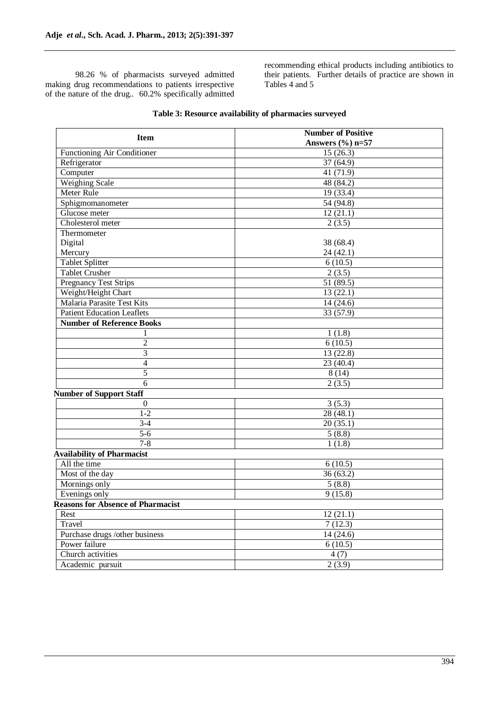98.26 % of pharmacists surveyed admitted making drug recommendations to patients irrespective of the nature of the drug.. 60.2% specifically admitted recommending ethical products including antibiotics to their patients. Further details of practice are shown in Tables 4 and 5

| Answers $(\% )$ n=57<br>Functioning Air Conditioner<br>$\overline{15}$ (26.3)<br>37(64.9)<br>Refrigerator<br>Computer<br>41(71.9)<br><b>Weighing Scale</b><br>48(84.2)<br>Meter Rule<br>19 (33.4)<br>Sphigmomanometer<br>54 (94.8)<br>Glucose meter<br>12(21.1)<br>Cholesterol meter<br>2(3.5)<br>Thermometer<br>Digital<br>38 (68.4)<br>Mercury<br>24(42.1)<br><b>Tablet Splitter</b><br>6(10.5)<br><b>Tablet Crusher</b><br>2(3.5)<br><b>Pregnancy Test Strips</b><br>51(89.5)<br>Weight/Height Chart<br>13(22.1)<br><b>Malaria Parasite Test Kits</b><br>14(24.6)<br><b>Patient Education Leaflets</b><br>33 (57.9)<br><b>Number of Reference Books</b><br>1(1.8)<br>1<br>$\overline{2}$<br>6(10.5)<br>3<br>13 (22.8)<br>$\overline{4}$<br>23(40.4)<br>5<br>8(14)<br>6<br>2(3.5)<br><b>Number of Support Staff</b><br>3(5.3)<br>$\mathbf{0}$<br>$1 - 2$<br>28(48.1)<br>$3-4$<br>20(35.1)<br>$5 - 6$<br>5(8.8)<br>$7 - 8$<br>1(1.8)<br><b>Availability of Pharmacist</b><br>All the time<br>6(10.5)<br>Most of the day<br>36(63.2)<br>Mornings only<br>5(8.8)<br>Evenings only<br>9(15.8)<br><b>Reasons for Absence of Pharmacist</b><br>Rest<br>12(21.1)<br>Travel<br>7(12.3)<br>Purchase drugs /other business<br>14(24.6) | <b>Item</b> | <b>Number of Positive</b> |  |  |
|--------------------------------------------------------------------------------------------------------------------------------------------------------------------------------------------------------------------------------------------------------------------------------------------------------------------------------------------------------------------------------------------------------------------------------------------------------------------------------------------------------------------------------------------------------------------------------------------------------------------------------------------------------------------------------------------------------------------------------------------------------------------------------------------------------------------------------------------------------------------------------------------------------------------------------------------------------------------------------------------------------------------------------------------------------------------------------------------------------------------------------------------------------------------------------------------------------------------------------|-------------|---------------------------|--|--|
|                                                                                                                                                                                                                                                                                                                                                                                                                                                                                                                                                                                                                                                                                                                                                                                                                                                                                                                                                                                                                                                                                                                                                                                                                                |             |                           |  |  |
|                                                                                                                                                                                                                                                                                                                                                                                                                                                                                                                                                                                                                                                                                                                                                                                                                                                                                                                                                                                                                                                                                                                                                                                                                                |             |                           |  |  |
|                                                                                                                                                                                                                                                                                                                                                                                                                                                                                                                                                                                                                                                                                                                                                                                                                                                                                                                                                                                                                                                                                                                                                                                                                                |             |                           |  |  |
|                                                                                                                                                                                                                                                                                                                                                                                                                                                                                                                                                                                                                                                                                                                                                                                                                                                                                                                                                                                                                                                                                                                                                                                                                                |             |                           |  |  |
|                                                                                                                                                                                                                                                                                                                                                                                                                                                                                                                                                                                                                                                                                                                                                                                                                                                                                                                                                                                                                                                                                                                                                                                                                                |             |                           |  |  |
|                                                                                                                                                                                                                                                                                                                                                                                                                                                                                                                                                                                                                                                                                                                                                                                                                                                                                                                                                                                                                                                                                                                                                                                                                                |             |                           |  |  |
|                                                                                                                                                                                                                                                                                                                                                                                                                                                                                                                                                                                                                                                                                                                                                                                                                                                                                                                                                                                                                                                                                                                                                                                                                                |             |                           |  |  |
|                                                                                                                                                                                                                                                                                                                                                                                                                                                                                                                                                                                                                                                                                                                                                                                                                                                                                                                                                                                                                                                                                                                                                                                                                                |             |                           |  |  |
|                                                                                                                                                                                                                                                                                                                                                                                                                                                                                                                                                                                                                                                                                                                                                                                                                                                                                                                                                                                                                                                                                                                                                                                                                                |             |                           |  |  |
|                                                                                                                                                                                                                                                                                                                                                                                                                                                                                                                                                                                                                                                                                                                                                                                                                                                                                                                                                                                                                                                                                                                                                                                                                                |             |                           |  |  |
|                                                                                                                                                                                                                                                                                                                                                                                                                                                                                                                                                                                                                                                                                                                                                                                                                                                                                                                                                                                                                                                                                                                                                                                                                                |             |                           |  |  |
|                                                                                                                                                                                                                                                                                                                                                                                                                                                                                                                                                                                                                                                                                                                                                                                                                                                                                                                                                                                                                                                                                                                                                                                                                                |             |                           |  |  |
|                                                                                                                                                                                                                                                                                                                                                                                                                                                                                                                                                                                                                                                                                                                                                                                                                                                                                                                                                                                                                                                                                                                                                                                                                                |             |                           |  |  |
|                                                                                                                                                                                                                                                                                                                                                                                                                                                                                                                                                                                                                                                                                                                                                                                                                                                                                                                                                                                                                                                                                                                                                                                                                                |             |                           |  |  |
|                                                                                                                                                                                                                                                                                                                                                                                                                                                                                                                                                                                                                                                                                                                                                                                                                                                                                                                                                                                                                                                                                                                                                                                                                                |             |                           |  |  |
|                                                                                                                                                                                                                                                                                                                                                                                                                                                                                                                                                                                                                                                                                                                                                                                                                                                                                                                                                                                                                                                                                                                                                                                                                                |             |                           |  |  |
|                                                                                                                                                                                                                                                                                                                                                                                                                                                                                                                                                                                                                                                                                                                                                                                                                                                                                                                                                                                                                                                                                                                                                                                                                                |             |                           |  |  |
|                                                                                                                                                                                                                                                                                                                                                                                                                                                                                                                                                                                                                                                                                                                                                                                                                                                                                                                                                                                                                                                                                                                                                                                                                                |             |                           |  |  |
|                                                                                                                                                                                                                                                                                                                                                                                                                                                                                                                                                                                                                                                                                                                                                                                                                                                                                                                                                                                                                                                                                                                                                                                                                                |             |                           |  |  |
|                                                                                                                                                                                                                                                                                                                                                                                                                                                                                                                                                                                                                                                                                                                                                                                                                                                                                                                                                                                                                                                                                                                                                                                                                                |             |                           |  |  |
|                                                                                                                                                                                                                                                                                                                                                                                                                                                                                                                                                                                                                                                                                                                                                                                                                                                                                                                                                                                                                                                                                                                                                                                                                                |             |                           |  |  |
|                                                                                                                                                                                                                                                                                                                                                                                                                                                                                                                                                                                                                                                                                                                                                                                                                                                                                                                                                                                                                                                                                                                                                                                                                                |             |                           |  |  |
|                                                                                                                                                                                                                                                                                                                                                                                                                                                                                                                                                                                                                                                                                                                                                                                                                                                                                                                                                                                                                                                                                                                                                                                                                                |             |                           |  |  |
|                                                                                                                                                                                                                                                                                                                                                                                                                                                                                                                                                                                                                                                                                                                                                                                                                                                                                                                                                                                                                                                                                                                                                                                                                                |             |                           |  |  |
|                                                                                                                                                                                                                                                                                                                                                                                                                                                                                                                                                                                                                                                                                                                                                                                                                                                                                                                                                                                                                                                                                                                                                                                                                                |             |                           |  |  |
|                                                                                                                                                                                                                                                                                                                                                                                                                                                                                                                                                                                                                                                                                                                                                                                                                                                                                                                                                                                                                                                                                                                                                                                                                                |             |                           |  |  |
|                                                                                                                                                                                                                                                                                                                                                                                                                                                                                                                                                                                                                                                                                                                                                                                                                                                                                                                                                                                                                                                                                                                                                                                                                                |             |                           |  |  |
|                                                                                                                                                                                                                                                                                                                                                                                                                                                                                                                                                                                                                                                                                                                                                                                                                                                                                                                                                                                                                                                                                                                                                                                                                                |             |                           |  |  |
|                                                                                                                                                                                                                                                                                                                                                                                                                                                                                                                                                                                                                                                                                                                                                                                                                                                                                                                                                                                                                                                                                                                                                                                                                                |             |                           |  |  |
|                                                                                                                                                                                                                                                                                                                                                                                                                                                                                                                                                                                                                                                                                                                                                                                                                                                                                                                                                                                                                                                                                                                                                                                                                                |             |                           |  |  |
|                                                                                                                                                                                                                                                                                                                                                                                                                                                                                                                                                                                                                                                                                                                                                                                                                                                                                                                                                                                                                                                                                                                                                                                                                                |             |                           |  |  |
|                                                                                                                                                                                                                                                                                                                                                                                                                                                                                                                                                                                                                                                                                                                                                                                                                                                                                                                                                                                                                                                                                                                                                                                                                                |             |                           |  |  |
|                                                                                                                                                                                                                                                                                                                                                                                                                                                                                                                                                                                                                                                                                                                                                                                                                                                                                                                                                                                                                                                                                                                                                                                                                                |             |                           |  |  |
|                                                                                                                                                                                                                                                                                                                                                                                                                                                                                                                                                                                                                                                                                                                                                                                                                                                                                                                                                                                                                                                                                                                                                                                                                                |             |                           |  |  |
|                                                                                                                                                                                                                                                                                                                                                                                                                                                                                                                                                                                                                                                                                                                                                                                                                                                                                                                                                                                                                                                                                                                                                                                                                                |             |                           |  |  |
|                                                                                                                                                                                                                                                                                                                                                                                                                                                                                                                                                                                                                                                                                                                                                                                                                                                                                                                                                                                                                                                                                                                                                                                                                                |             |                           |  |  |
|                                                                                                                                                                                                                                                                                                                                                                                                                                                                                                                                                                                                                                                                                                                                                                                                                                                                                                                                                                                                                                                                                                                                                                                                                                |             |                           |  |  |
|                                                                                                                                                                                                                                                                                                                                                                                                                                                                                                                                                                                                                                                                                                                                                                                                                                                                                                                                                                                                                                                                                                                                                                                                                                |             |                           |  |  |
|                                                                                                                                                                                                                                                                                                                                                                                                                                                                                                                                                                                                                                                                                                                                                                                                                                                                                                                                                                                                                                                                                                                                                                                                                                |             |                           |  |  |
|                                                                                                                                                                                                                                                                                                                                                                                                                                                                                                                                                                                                                                                                                                                                                                                                                                                                                                                                                                                                                                                                                                                                                                                                                                |             |                           |  |  |
| Power failure<br>6(10.5)                                                                                                                                                                                                                                                                                                                                                                                                                                                                                                                                                                                                                                                                                                                                                                                                                                                                                                                                                                                                                                                                                                                                                                                                       |             |                           |  |  |
| Church activities<br>4(7)                                                                                                                                                                                                                                                                                                                                                                                                                                                                                                                                                                                                                                                                                                                                                                                                                                                                                                                                                                                                                                                                                                                                                                                                      |             |                           |  |  |
| 2(3.9)<br>Academic pursuit                                                                                                                                                                                                                                                                                                                                                                                                                                                                                                                                                                                                                                                                                                                                                                                                                                                                                                                                                                                                                                                                                                                                                                                                     |             |                           |  |  |

## **Table 3: Resource availability of pharmacies surveyed**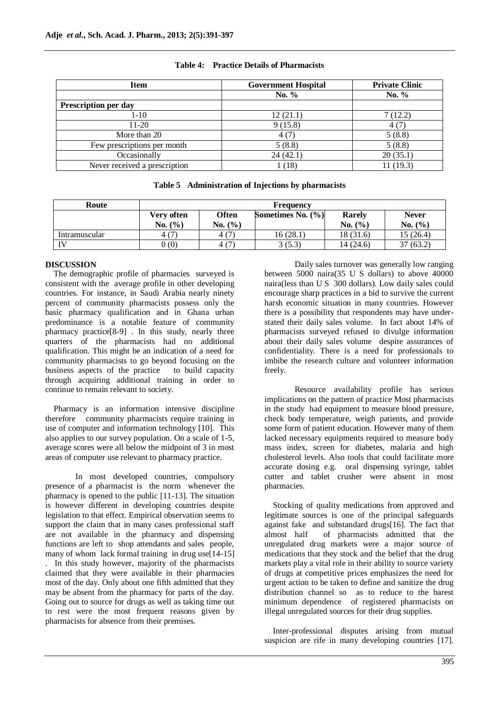| <b>Item</b>                   | <b>Government Hospital</b> | <b>Private Clinic</b> |  |
|-------------------------------|----------------------------|-----------------------|--|
|                               | No. $%$                    | No. $%$               |  |
| Prescription per day          |                            |                       |  |
| 1-10                          | 12(21.1)                   | 7(12.2)               |  |
| $11-20$                       | 9(15.8)                    | 4(7)                  |  |
| More than 20                  | 4(7)                       | 5(8.8)                |  |
| Few prescriptions per month   | 5(8.8)                     | 5(8.8)                |  |
| Occasionally                  | 24(42.1)                   | 20(35.1)              |  |
| Never received a prescription | $18^{\circ}$               | 11 (19.3)             |  |

#### **Table 4: Practice Details of Pharmacists**

|  | Table 5 Administration of Injections by pharmacists |  |  |
|--|-----------------------------------------------------|--|--|
|--|-----------------------------------------------------|--|--|

| Route         | <b>Frequency</b> |              |                       |           |              |
|---------------|------------------|--------------|-----------------------|-----------|--------------|
|               | Very often       | <b>Often</b> | Sometimes No. $(\% )$ | Rarely    | <b>Never</b> |
|               | No. (%)          | No. (%)      |                       | No. (%)   | No. (%)      |
| Intramuscular | 4(7)             | 4(7)         | 16 (28.1)             | 18 (31.6) | 15 (26.4)    |
| TV.           | (0)              | 4 (7)        | 3(5.3)                | 14 (24.6) | 37(63.2)     |

## **DISCUSSION**

The demographic profile of pharmacies surveyed is consistent with the average profile in other developing countries. For instance, in Saudi Arabia nearly ninety percent of community pharmacists possess only the basic pharmacy qualification and in Ghana urban predominance is a notable feature of community pharmacy practice[8-9] . In this study, nearly three quarters of the pharmacists had no additional qualification. This might be an indication of a need for community pharmacists to go beyond focusing on the business aspects of the practice to build capacity through acquiring additional training in order to continue to remain relevant to society.

Pharmacy is an information intensive discipline therefore community pharmacists require training in use of computer and information technology [10]. This also applies to our survey population. On a scale of 1-5, average scores were all below the midpoint of 3 in most areas of computer use relevant to pharmacy practice.

In most developed countries, compulsory presence of a pharmacist is the norm whenever the pharmacy is opened to the public [11-13]. The situation is however different in developing countries despite legislation to that effect. Empirical observation seems to support the claim that in many cases professional staff are not available in the pharmacy and dispensing functions are left to shop attendants and sales people, many of whom lack formal training in drug use  $[14-15]$ . In this study however, majority of the pharmacists claimed that they were available in their pharmacies most of the day. Only about one fifth admitted that they may be absent from the pharmacy for parts of the day. Going out to source for drugs as well as taking time out to rest were the most frequent reasons given by pharmacists for absence from their premises.

Daily sales turnover was generally low ranging between 5000 naira(35 U S dollars) to above 40000 naira(less than U S 300 dollars). Low daily sales could encourage sharp practices in a bid to survive the current harsh economic situation in many countries. However there is a possibility that respondents may have understated their daily sales volume. In fact about 14% of pharmacists surveyed refused to divulge information about their daily sales volume despite assurances of confidentiality. There is a need for professionals to imbibe the research culture and volunteer information freely.

Resource availability profile has serious implications on the pattern of practice Most pharmacists in the study had equipment to measure blood pressure, check body temperature, weigh patients, and provide some form of patient education. However many of them lacked necessary equipments required to measure body mass index, screen for diabetes, malaria and high cholesterol levels. Also tools that could facilitate more accurate dosing e.g. oral dispensing syringe, tablet cutter and tablet crusher were absent in most pharmacies.

Stocking of quality medications from approved and legitimate sources is one of the principal safeguards against fake and substandard drugs[16]. The fact that almost half of pharmacists admitted that the unregulated drug markets were a major source of medications that they stock and the belief that the drug markets play a vital role in their ability to source variety of drugs at competitive prices emphasizes the need for urgent action to be taken to define and sanitize the drug distribution channel so as to reduce to the barest minimum dependence of registered pharmacists on illegal unregulated sources for their drug supplies.

Inter-professional disputes arising from mutual suspicion are rife in many developing countries [17].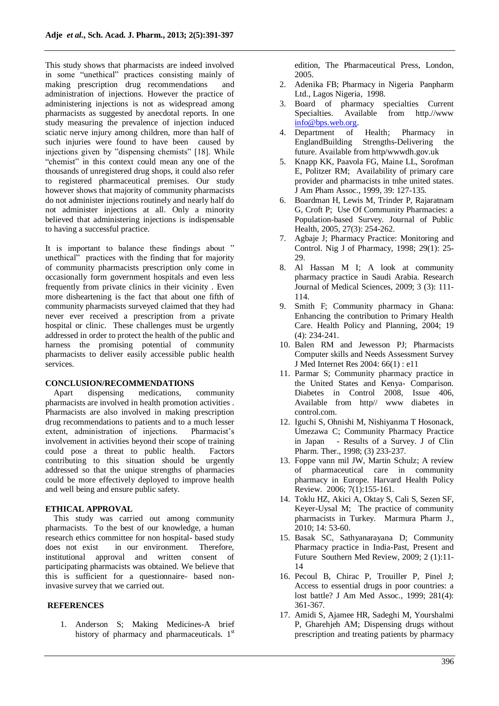This study shows that pharmacists are indeed involved in some "unethical" practices consisting mainly of making prescription drug recommendations and administration of injections. However the practice of administering injections is not as widespread among pharmacists as suggested by anecdotal reports. In one study measuring the prevalence of injection induced sciatic nerve injury among children, more than half of such injuries were found to have been caused by injections given by "dispensing chemists" [18]. While "chemist" in this context could mean any one of the thousands of unregistered drug shops, it could also refer to registered pharmaceutical premises. Our study however shows that majority of community pharmacists do not administer injections routinely and nearly half do not administer injections at all. Only a minority believed that administering injections is indispensable to having a successful practice.

It is important to balance these findings about " unethical" practices with the finding that for majority of community pharmacists prescription only come in occasionally form government hospitals and even less frequently from private clinics in their vicinity . Even more disheartening is the fact that about one fifth of community pharmacists surveyed claimed that they had never ever received a prescription from a private hospital or clinic. These challenges must be urgently addressed in order to protect the health of the public and harness the promising potential of community pharmacists to deliver easily accessible public health services.

#### **CONCLUSION/RECOMMENDATIONS**

Apart dispensing medications, community pharmacists are involved in health promotion activities . Pharmacists are also involved in making prescription drug recommendations to patients and to a much lesser extent, administration of injections. Pharmacist's involvement in activities beyond their scope of training could pose a threat to public health. Factors contributing to this situation should be urgently addressed so that the unique strengths of pharmacies could be more effectively deployed to improve health and well being and ensure public safety.

#### **ETHICAL APPROVAL**

This study was carried out among community pharmacists. To the best of our knowledge, a human research ethics committee for non hospital- based study does not exist in our environment. Therefore, institutional approval and written consent of participating pharmacists was obtained. We believe that this is sufficient for a questionnaire- based noninvasive survey that we carried out.

#### **REFERENCES**

1. Anderson S; Making Medicines-A brief history of pharmacy and pharmaceuticals. 1<sup>st</sup>

edition, The Pharmaceutical Press, London, 2005.

- 2. Adenika FB; Pharmacy in Nigeria Panpharm Ltd., Lagos Nigeria, 1998.
- 3. Board of pharmacy specialties Current Specialties. Available from http.//www [info@bps.web.org.](mailto:info@bps.web.org)
- 4. Department of Health; Pharmacy in EnglandBuilding Strengths-Delivering the future. Available from http/wwwdh.gov.uk
- 5. Knapp KK, Paavola FG, Maine LL, Sorofman E, Politzer RM; Availability of primary care provider and pharmacists in tnhe united states. J Am Pham Assoc., 1999, 39: 127-135.
- 6. Boardman H, Lewis M, Trinder P, Rajaratnam G, Croft P; Use Of Community Pharmacies: a Population-based Survey. Journal of Public Health, 2005, 27(3): 254-262.
- 7. Agbaje J; Pharmacy Practice: Monitoring and Control. Nig J of Pharmacy, 1998; 29(1): 25- 29.
- 8. Al Hassan M I; A look at community pharmacy practice in Saudi Arabia. Research Journal of Medical Sciences, 2009; 3 (3): 111- 114.
- 9. Smith F; Community pharmacy in Ghana: Enhancing the contribution to Primary Health Care. Health Policy and Planning, 2004; 19 (4): 234-241.
- 10. Balen RM and Jewesson PJ; Pharmacists Computer skills and Needs Assessment Survey J Med Internet Res 2004: 66(1) : e11
- 11. Parmar S; Community pharmacy practice in the United States and Kenya- Comparison. Diabetes in Control 2008, Issue 406, Available from http// www diabetes in control.com.
- 12. Iguchi S, Ohnishi M, Nishiyanma T Hosonack, Umezawa C; Community Pharmacy Practice in Japan - Results of a Survey. J of Clin Pharm. Ther., 1998; (3) 233-237.
- 13. Foppe vann mil JW, Martin Schulz; A review of pharmaceutical care in community pharmacy in Europe. Harvard Health Policy Review. 2006; 7(1):155-161.
- 14. Toklu HZ, Akici A, Oktay S, Cali S, Sezen SF, Keyer-Uysal M; The practice of community pharmacists in Turkey. Marmura Pharm J., 2010; 14: 53-60.
- 15. Basak SC, Sathyanarayana D; Community Pharmacy practice in India-Past, Present and Future Southern Med Review, 2009; 2 (1):11- 14
- 16. Pecoul B, Chirac P, Trouiller P, Pinel J; Access to essential drugs in poor countries: a lost battle? J Am Med Assoc., 1999; 281(4): 361-367.
- 17. Amidi S, Ajamee HR, Sadeghi M, Yourshalmi P, Gharehjeh AM; Dispensing drugs without prescription and treating patients by pharmacy